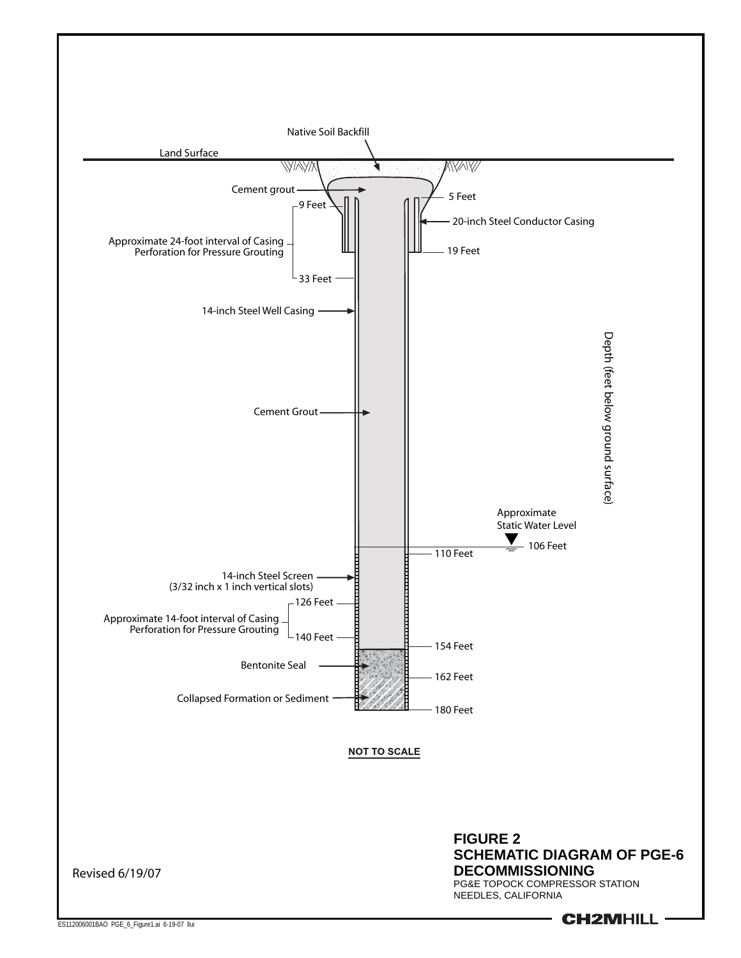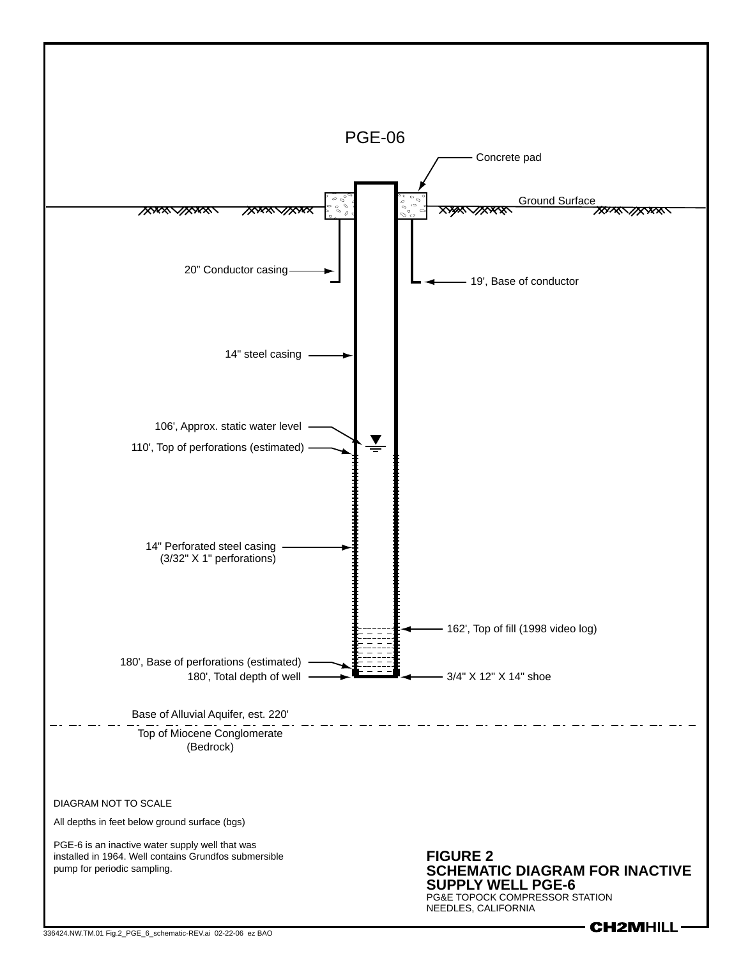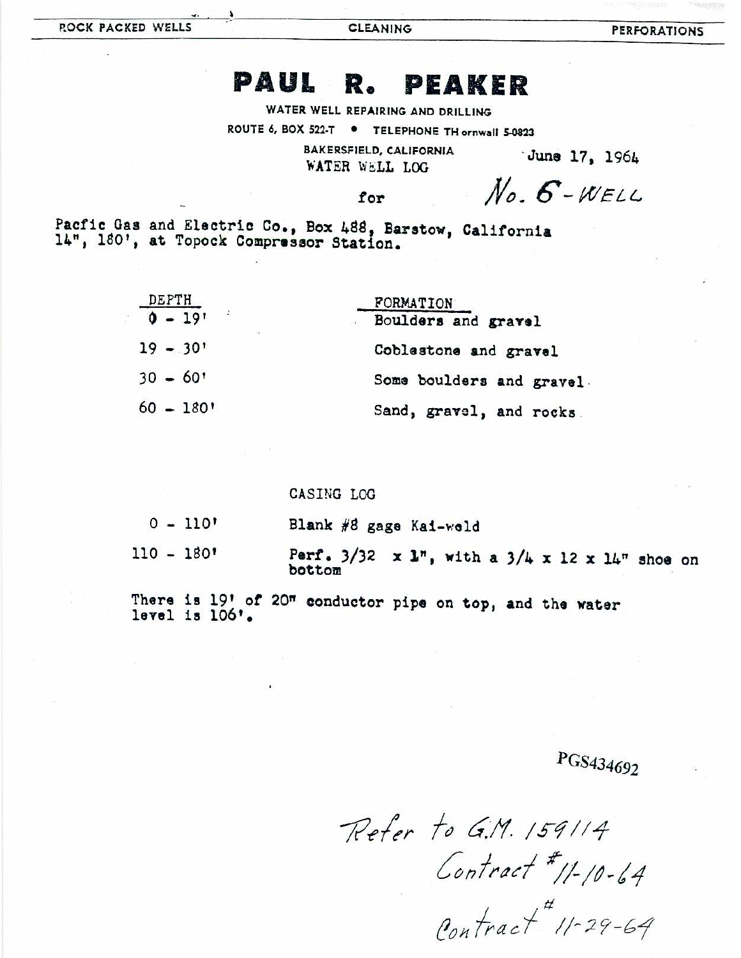**CLEANING** 

## PAUL R. PEAKER

WATER WELL REPAIRING AND DRILLING

ROUTE 6, BOX 522-T . TELEPHONE TH ornwall 5-0823

**BAKERSFIELD, CALIFORNIA** WATER WELL LOG

June 17, 1964

## for

 $No. 6-WELL$ 

Pacfic Gas and Electric Co., Box 488, Barstow, California 14", 180', at Topock Compressor Station.

| <b>DEPTH</b>                           | FORMATION                 |
|----------------------------------------|---------------------------|
| $\mathcal{L}$<br>$0 - 19$ <sup>t</sup> | Boulders and gravel       |
| $19 - 30'$                             | Coblestone and gravel     |
| $30 - 60$                              | Some boulders and gravel. |
| $60 - 180$                             | Sand, gravel, and rocks   |

## CASING LOG

| $0 - 110'$ | Blank #8 gage Kai-weld                                                         |  |  |  |  |  |  |  |
|------------|--------------------------------------------------------------------------------|--|--|--|--|--|--|--|
| 110 - 180' | Perf. $3/32 \times 1^n$ , with a $3/4 \times 12 \times 14^n$ shoe on<br>bottom |  |  |  |  |  |  |  |

There is 19' of 20" conductor pipe on top, and the water level is 106'.

## PGS434692

Refer to G.M. 159114 Contract # 11-10-64<br>Contract # 11-29-64